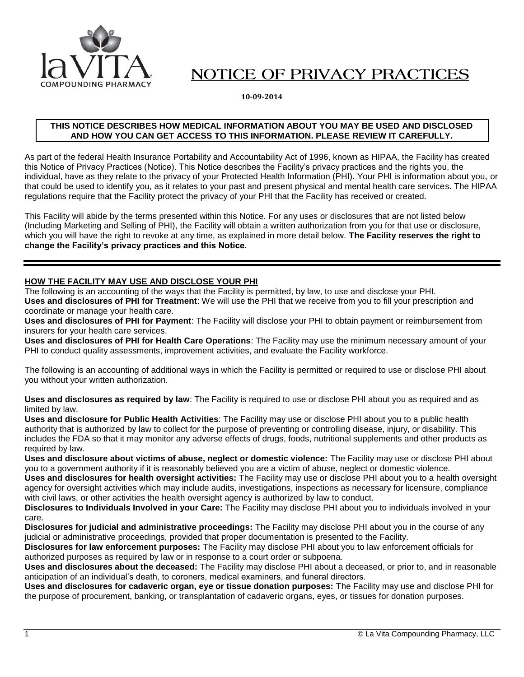

# NOTICE OF PRIVACY PRACTICES

**10-09-2014**

#### **THIS NOTICE DESCRIBES HOW MEDICAL INFORMATION ABOUT YOU MAY BE USED AND DISCLOSED AND HOW YOU CAN GET ACCESS TO THIS INFORMATION. PLEASE REVIEW IT CAREFULLY.**

As part of the federal Health Insurance Portability and Accountability Act of 1996, known as HIPAA, the Facility has created this Notice of Privacy Practices (Notice). This Notice describes the Facility's privacy practices and the rights you, the individual, have as they relate to the privacy of your Protected Health Information (PHI). Your PHI is information about you, or that could be used to identify you, as it relates to your past and present physical and mental health care services. The HIPAA regulations require that the Facility protect the privacy of your PHI that the Facility has received or created.

This Facility will abide by the terms presented within this Notice. For any uses or disclosures that are not listed below (Including Marketing and Selling of PHI), the Facility will obtain a written authorization from you for that use or disclosure, which you will have the right to revoke at any time, as explained in more detail below. **The Facility reserves the right to change the Facility's privacy practices and this Notice.**

## **HOW THE FACILITY MAY USE AND DISCLOSE YOUR PHI**

The following is an accounting of the ways that the Facility is permitted, by law, to use and disclose your PHI. **Uses and disclosures of PHI for Treatment**: We will use the PHI that we receive from you to fill your prescription and coordinate or manage your health care.

**Uses and disclosures of PHI for Payment**: The Facility will disclose your PHI to obtain payment or reimbursement from insurers for your health care services.

**Uses and disclosures of PHI for Health Care Operations**: The Facility may use the minimum necessary amount of your PHI to conduct quality assessments, improvement activities, and evaluate the Facility workforce.

The following is an accounting of additional ways in which the Facility is permitted or required to use or disclose PHI about you without your written authorization.

**Uses and disclosures as required by law**: The Facility is required to use or disclose PHI about you as required and as limited by law.

**Uses and disclosure for Public Health Activities**: The Facility may use or disclose PHI about you to a public health authority that is authorized by law to collect for the purpose of preventing or controlling disease, injury, or disability. This includes the FDA so that it may monitor any adverse effects of drugs, foods, nutritional supplements and other products as required by law.

**Uses and disclosure about victims of abuse, neglect or domestic violence:** The Facility may use or disclose PHI about you to a government authority if it is reasonably believed you are a victim of abuse, neglect or domestic violence.

**Uses and disclosures for health oversight activities:** The Facility may use or disclose PHI about you to a health oversight agency for oversight activities which may include audits, investigations, inspections as necessary for licensure, compliance with civil laws, or other activities the health oversight agency is authorized by law to conduct.

**Disclosures to Individuals Involved in your Care:** The Facility may disclose PHI about you to individuals involved in your care.

**Disclosures for judicial and administrative proceedings:** The Facility may disclose PHI about you in the course of any judicial or administrative proceedings, provided that proper documentation is presented to the Facility.

**Disclosures for law enforcement purposes:** The Facility may disclose PHI about you to law enforcement officials for authorized purposes as required by law or in response to a court order or subpoena.

**Uses and disclosures about the deceased:** The Facility may disclose PHI about a deceased, or prior to, and in reasonable anticipation of an individual's death, to coroners, medical examiners, and funeral directors.

**Uses and disclosures for cadaveric organ, eye or tissue donation purposes:** The Facility may use and disclose PHI for the purpose of procurement, banking, or transplantation of cadaveric organs, eyes, or tissues for donation purposes.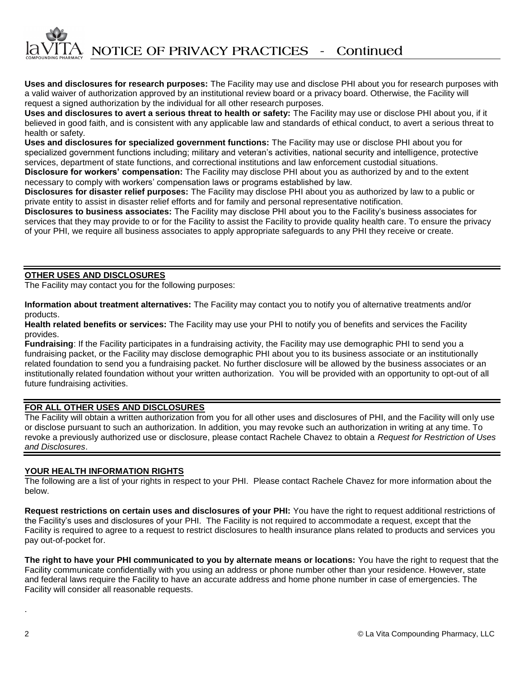**Uses and disclosures for research purposes:** The Facility may use and disclose PHI about you for research purposes with a valid waiver of authorization approved by an institutional review board or a privacy board. Otherwise, the Facility will request a signed authorization by the individual for all other research purposes.

**Uses and disclosures to avert a serious threat to health or safety:** The Facility may use or disclose PHI about you, if it believed in good faith, and is consistent with any applicable law and standards of ethical conduct, to avert a serious threat to health or safety.

**Uses and disclosures for specialized government functions:** The Facility may use or disclose PHI about you for specialized government functions including; military and veteran's activities, national security and intelligence, protective services, department of state functions, and correctional institutions and law enforcement custodial situations.

**Disclosure for workers' compensation:** The Facility may disclose PHI about you as authorized by and to the extent necessary to comply with workers' compensation laws or programs established by law.

**Disclosures for disaster relief purposes:** The Facility may disclose PHI about you as authorized by law to a public or private entity to assist in disaster relief efforts and for family and personal representative notification.

**Disclosures to business associates:** The Facility may disclose PHI about you to the Facility's business associates for services that they may provide to or for the Facility to assist the Facility to provide quality health care. To ensure the privacy of your PHI, we require all business associates to apply appropriate safeguards to any PHI they receive or create.

## **OTHER USES AND DISCLOSURES**

The Facility may contact you for the following purposes:

**Information about treatment alternatives:** The Facility may contact you to notify you of alternative treatments and/or products.

**Health related benefits or services:** The Facility may use your PHI to notify you of benefits and services the Facility provides.

**Fundraising**: If the Facility participates in a fundraising activity, the Facility may use demographic PHI to send you a fundraising packet, or the Facility may disclose demographic PHI about you to its business associate or an institutionally related foundation to send you a fundraising packet. No further disclosure will be allowed by the business associates or an institutionally related foundation without your written authorization. You will be provided with an opportunity to opt-out of all future fundraising activities.

## **FOR ALL OTHER USES AND DISCLOSURES**

The Facility will obtain a written authorization from you for all other uses and disclosures of PHI, and the Facility will only use or disclose pursuant to such an authorization. In addition, you may revoke such an authorization in writing at any time. To revoke a previously authorized use or disclosure, please contact Rachele Chavez to obtain a *Request for Restriction of Uses and Disclosures*.

## **YOUR HEALTH INFORMATION RIGHTS**

The following are a list of your rights in respect to your PHI. Please contact Rachele Chavez for more information about the below.

**Request restrictions on certain uses and disclosures of your PHI:** You have the right to request additional restrictions of the Facility's uses and disclosures of your PHI. The Facility is not required to accommodate a request, except that the Facility is required to agree to a request to restrict disclosures to health insurance plans related to products and services you pay out-of-pocket for.

**The right to have your PHI communicated to you by alternate means or locations:** You have the right to request that the Facility communicate confidentially with you using an address or phone number other than your residence. However, state and federal laws require the Facility to have an accurate address and home phone number in case of emergencies. The Facility will consider all reasonable requests.

.